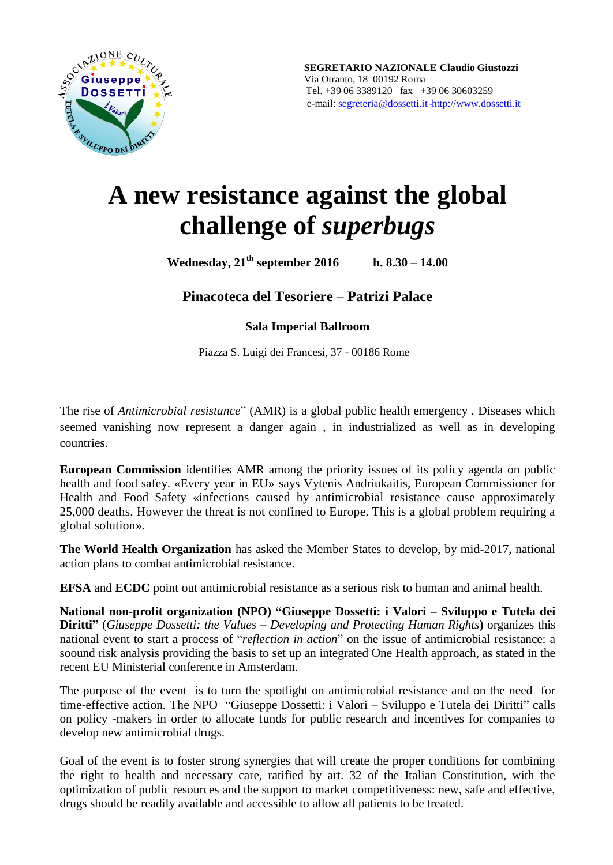

# **A new resistance against the global challenge of** *superbugs*

**Wednesday, 21th september 2016 h. 8.30 – 14.00**

**Pinacoteca del Tesoriere – Patrizi Palace**

**Sala Imperial Ballroom**

Piazza S. Luigi dei Francesi, 37 - 00186 Rome

The rise of *Antimicrobial resistance*" (AMR) is a global public health emergency . Diseases which seemed vanishing now represent a danger again , in industrialized as well as in developing countries.

**European Commission** identifies AMR among the priority issues of its policy agenda on public health and food safey. «Every year in EU» says Vytenis Andriukaitis, European Commissioner for Health and Food Safety «infections caused by antimicrobial resistance cause approximately 25,000 deaths. However the threat is not confined to Europe. This is a global problem requiring a global solution».

**The World Health Organization** has asked the Member States to develop, by mid-2017, national action plans to combat antimicrobial resistance.

**EFSA** and **ECDC** point out antimicrobial resistance as a serious risk to human and animal health.

**National non-profit organization (NPO) "Giuseppe Dossetti: i Valori – Sviluppo e Tutela dei Diritti"** (*Giuseppe Dossetti: the Values* **–** *Developing and Protecting Human Rights***)** organizes this national event to start a process of "*reflection in action*" on the issue of antimicrobial resistance: a soound risk analysis providing the basis to set up an integrated One Health approach, as stated in the recent EU Ministerial conference in Amsterdam.

The purpose of the event is to turn the spotlight on antimicrobial resistance and on the need for time-effective action. The NPO "Giuseppe Dossetti: i Valori – Sviluppo e Tutela dei Diritti" calls on policy -makers in order to allocate funds for public research and incentives for companies to develop new antimicrobial drugs.

Goal of the event is to foster strong synergies that will create the proper conditions for combining the right to health and necessary care, ratified by art. 32 of the Italian Constitution, with the optimization of public resources and the support to market competitiveness: new, safe and effective, drugs should be readily available and accessible to allow all patients to be treated.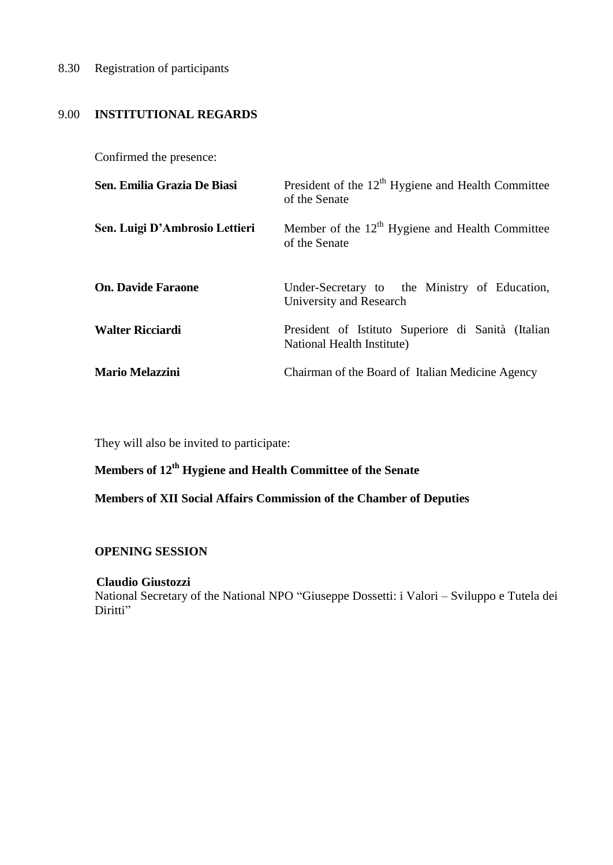# 8.30 Registration of participants

# 9.00 **INSTITUTIONAL REGARDS**

Confirmed the presence:

| Sen. Emilia Grazia De Biasi    | President of the $12th$ Hygiene and Health Committee<br>of the Senate            |
|--------------------------------|----------------------------------------------------------------------------------|
| Sen. Luigi D'Ambrosio Lettieri | Member of the $12th$ Hygiene and Health Committee<br>of the Senate               |
| <b>On. Davide Faraone</b>      | Under-Secretary to the Ministry of Education,<br>University and Research         |
| <b>Walter Ricciardi</b>        | President of Istituto Superiore di Sanità (Italian<br>National Health Institute) |
| <b>Mario Melazzini</b>         | Chairman of the Board of Italian Medicine Agency                                 |

They will also be invited to participate:

# **Members of 12th Hygiene and Health Committee of the Senate**

**Members of XII Social Affairs Commission of the Chamber of Deputies**

#### **OPENING SESSION**

#### **Claudio Giustozzi**

National Secretary of the National NPO "Giuseppe Dossetti: i Valori – Sviluppo e Tutela dei Diritti"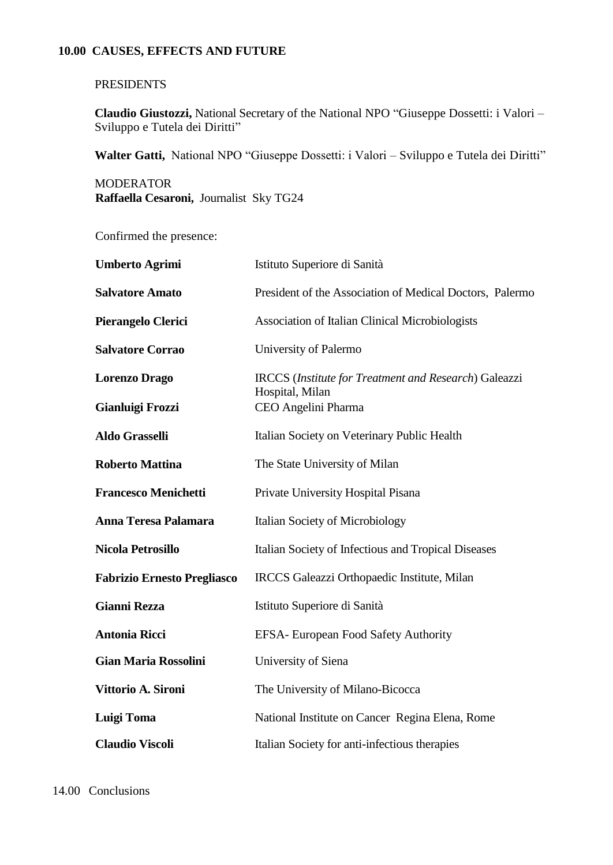### **10.00 CAUSES, EFFECTS AND FUTURE**

# **PRESIDENTS**

**Claudio Giustozzi,** National Secretary of the National NPO "Giuseppe Dossetti: i Valori – Sviluppo e Tutela dei Diritti"

**Walter Gatti,** National NPO "Giuseppe Dossetti: i Valori – Sviluppo e Tutela dei Diritti"

**MODERATOR Raffaella Cesaroni,** Journalist Sky TG24

Confirmed the presence:

| <b>Umberto Agrimi</b>              | Istituto Superiore di Sanità                                 |
|------------------------------------|--------------------------------------------------------------|
| <b>Salvatore Amato</b>             | President of the Association of Medical Doctors, Palermo     |
| Pierangelo Clerici                 | Association of Italian Clinical Microbiologists              |
| <b>Salvatore Corrao</b>            | University of Palermo                                        |
| <b>Lorenzo Drago</b>               | <b>IRCCS</b> (Institute for Treatment and Research) Galeazzi |
| Gianluigi Frozzi                   | Hospital, Milan<br>CEO Angelini Pharma                       |
| <b>Aldo Grasselli</b>              | Italian Society on Veterinary Public Health                  |
| <b>Roberto Mattina</b>             | The State University of Milan                                |
| <b>Francesco Menichetti</b>        | Private University Hospital Pisana                           |
| Anna Teresa Palamara               | Italian Society of Microbiology                              |
| <b>Nicola Petrosillo</b>           | Italian Society of Infectious and Tropical Diseases          |
| <b>Fabrizio Ernesto Pregliasco</b> | IRCCS Galeazzi Orthopaedic Institute, Milan                  |
| <b>Gianni Rezza</b>                | Istituto Superiore di Sanità                                 |
| <b>Antonia Ricci</b>               | EFSA- European Food Safety Authority                         |
| <b>Gian Maria Rossolini</b>        | University of Siena                                          |
| Vittorio A. Sironi                 | The University of Milano-Bicocca                             |
| Luigi Toma                         | National Institute on Cancer Regina Elena, Rome              |
| <b>Claudio Viscoli</b>             | Italian Society for anti-infectious therapies                |